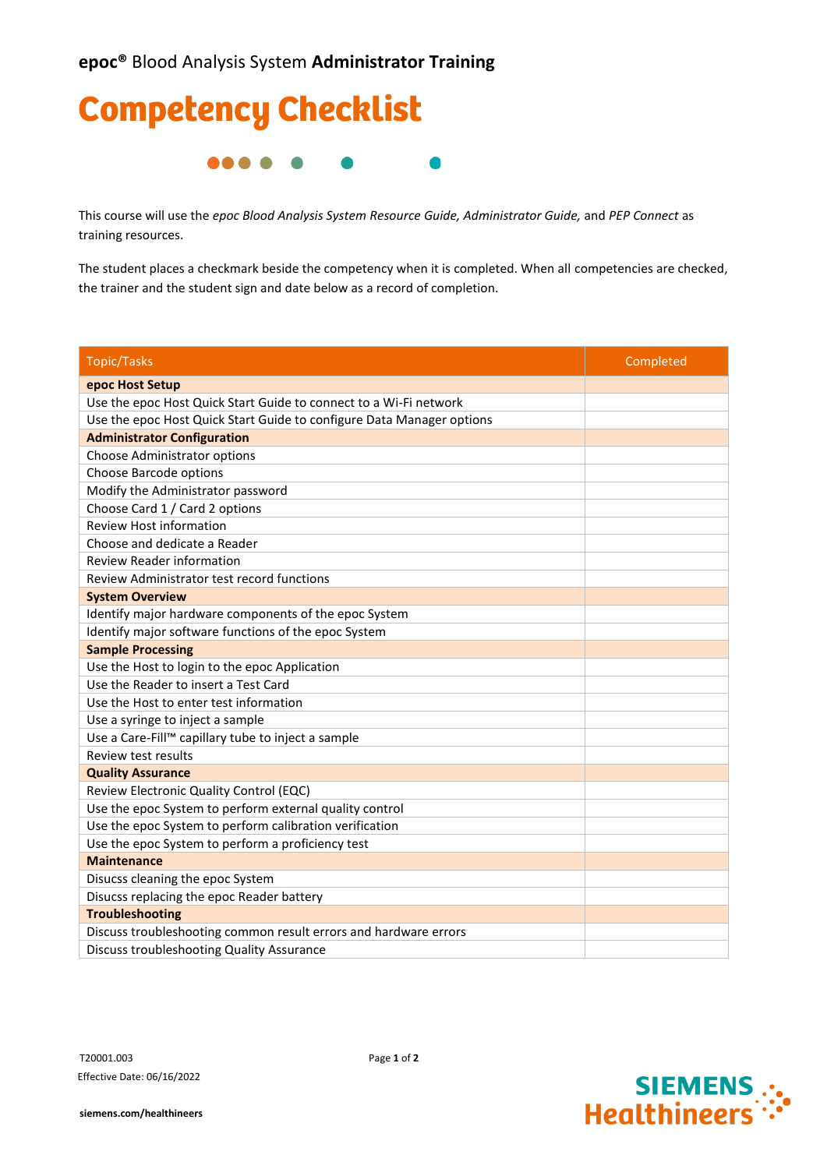

This course will use the *epoc Blood Analysis System Resource Guide, Administrator Guide,* and *PEP Connect* as training resources.

The student places a checkmark beside the competency when it is completed. When all competencies are checked, the trainer and the student sign and date below as a record of completion.

| <b>Topic/Tasks</b>                                                    | Completed |
|-----------------------------------------------------------------------|-----------|
| epoc Host Setup                                                       |           |
| Use the epoc Host Quick Start Guide to connect to a Wi-Fi network     |           |
| Use the epoc Host Quick Start Guide to configure Data Manager options |           |
| <b>Administrator Configuration</b>                                    |           |
| Choose Administrator options                                          |           |
| Choose Barcode options                                                |           |
| Modify the Administrator password                                     |           |
| Choose Card 1 / Card 2 options                                        |           |
| <b>Review Host information</b>                                        |           |
| Choose and dedicate a Reader                                          |           |
| <b>Review Reader information</b>                                      |           |
| Review Administrator test record functions                            |           |
| <b>System Overview</b>                                                |           |
| Identify major hardware components of the epoc System                 |           |
| Identify major software functions of the epoc System                  |           |
| <b>Sample Processing</b>                                              |           |
| Use the Host to login to the epoc Application                         |           |
| Use the Reader to insert a Test Card                                  |           |
| Use the Host to enter test information                                |           |
| Use a syringe to inject a sample                                      |           |
| Use a Care-Fill™ capillary tube to inject a sample                    |           |
| Review test results                                                   |           |
| <b>Quality Assurance</b>                                              |           |
| Review Electronic Quality Control (EQC)                               |           |
| Use the epoc System to perform external quality control               |           |
| Use the epoc System to perform calibration verification               |           |
| Use the epoc System to perform a proficiency test                     |           |
| <b>Maintenance</b>                                                    |           |
| Disucss cleaning the epoc System                                      |           |
| Disucss replacing the epoc Reader battery                             |           |
| <b>Troubleshooting</b>                                                |           |
| Discuss troubleshooting common result errors and hardware errors      |           |
| Discuss troubleshooting Quality Assurance                             |           |